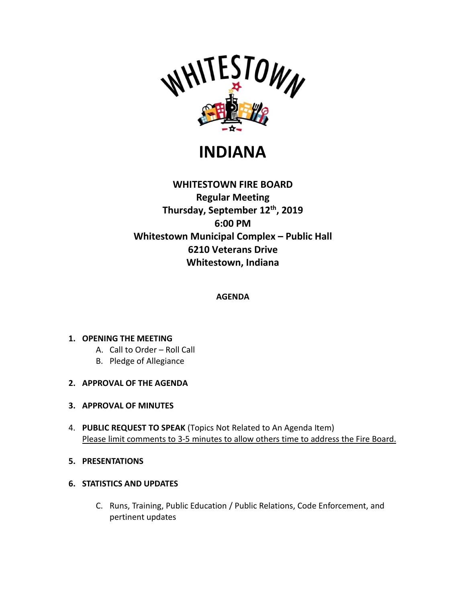

# **INDIANA**

# **WHITESTOWN FIRE BOARD Regular Meeting Thursday, September 12th , 2019 6:00 PM Whitestown Municipal Complex – Public Hall 6210 Veterans Drive Whitestown, Indiana**

## **AGENDA**

### **1. OPENING THE MEETING**

- A. Call to Order Roll Call
- B. Pledge of Allegiance
- **2. APPROVAL OF THE AGENDA**
- **3. APPROVAL OF MINUTES**
- 4. **PUBLIC REQUEST TO SPEAK** (Topics Not Related to An Agenda Item) Please limit comments to 3-5 minutes to allow others time to address the Fire Board.
- **5. PRESENTATIONS**
- **6. STATISTICS AND UPDATES**
	- C. Runs, Training, Public Education / Public Relations, Code Enforcement, and pertinent updates